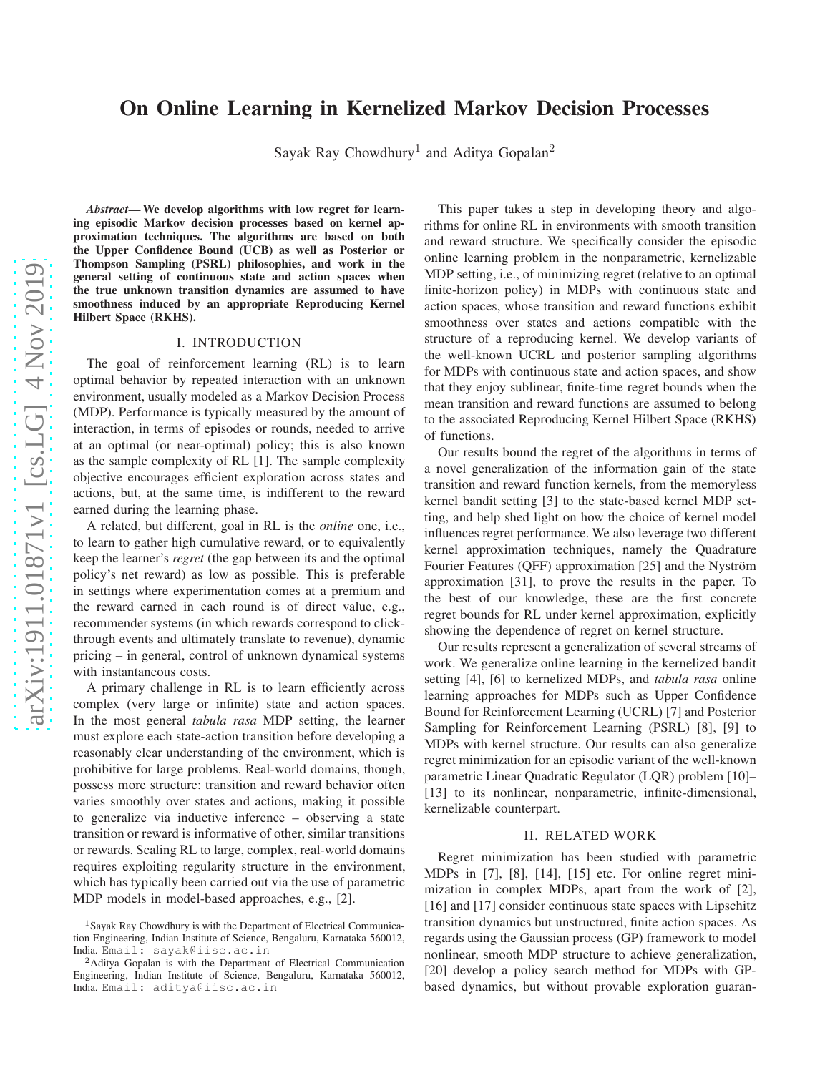# On Online Learning in Kernelized Markov Decision Processes

Sayak Ray Chowdhury<sup>1</sup> and Aditya Gopalan<sup>2</sup>

*Abstract*— We develop algorithms with low regret for learning episodic Markov decision processes based on kernel approximation techniques. The algorithms are based on both the Upper Confidence Bound (UCB) as well as Posterior or Thompson Sampling (PSRL) philosophies, and work in the general setting of continuous state and action spaces when the true unknown transition dynamics are assumed to have smoothness induced by an appropriate Reproducing Kernel Hilbert Space (RKHS).

#### I. INTRODUCTION

The goal of reinforcement learning (RL) is to learn optimal behavior by repeated interaction with an unknown environment, usually modeled as a Markov Decision Process (MDP). Performance is typically measured by the amount of interaction, in terms of episodes or rounds, needed to arrive at an optimal (or near-optimal) policy; this is also known as the sample complexity of RL [1]. The sample complexity objective encourages efficient exploration across states and actions, but, at the same time, is indifferent to the reward earned during the learning phase.

A related, but different, goal in RL is the *online* one, i.e., to learn to gather high cumulative reward, or to equivalently keep the learner's *regret* (the gap between its and the optimal policy's net reward) as low as possible. This is preferable in settings where experimentation comes at a premium and the reward earned in each round is of direct value, e.g., recommender systems (in which rewards correspond to clickthrough events and ultimately translate to revenue), dynamic pricing – in general, control of unknown dynamical systems with instantaneous costs.

A primary challenge in RL is to learn efficiently across complex (very large or infinite) state and action spaces. In the most general *tabula rasa* MDP setting, the learner must explore each state-action transition before developing a reasonably clear understanding of the environment, which is prohibitive for large problems. Real-world domains, though, possess more structure: transition and reward behavior often varies smoothly over states and actions, making it possible to generalize via inductive inference – observing a state transition or reward is informative of other, similar transitions or rewards. Scaling RL to large, complex, real-world domains requires exploiting regularity structure in the environment, which has typically been carried out via the use of parametric MDP models in model-based approaches, e.g., [2].

This paper takes a step in developing theory and algorithms for online RL in environments with smooth transition and reward structure. We specifically consider the episodic online learning problem in the nonparametric, kernelizable MDP setting, i.e., of minimizing regret (relative to an optimal finite-horizon policy) in MDPs with continuous state and action spaces, whose transition and reward functions exhibit smoothness over states and actions compatible with the structure of a reproducing kernel. We develop variants of the well-known UCRL and posterior sampling algorithms for MDPs with continuous state and action spaces, and show that they enjoy sublinear, finite-time regret bounds when the mean transition and reward functions are assumed to belong to the associated Reproducing Kernel Hilbert Space (RKHS) of functions.

Our results bound the regret of the algorithms in terms of a novel generalization of the information gain of the state transition and reward function kernels, from the memoryless kernel bandit setting [3] to the state-based kernel MDP setting, and help shed light on how the choice of kernel model influences regret performance. We also leverage two different kernel approximation techniques, namely the Quadrature Fourier Features (QFF) approximation [25] and the Nyström approximation [31], to prove the results in the paper. To the best of our knowledge, these are the first concrete regret bounds for RL under kernel approximation, explicitly showing the dependence of regret on kernel structure.

Our results represent a generalization of several streams of work. We generalize online learning in the kernelized bandit setting [4], [6] to kernelized MDPs, and *tabula rasa* online learning approaches for MDPs such as Upper Confidence Bound for Reinforcement Learning (UCRL) [7] and Posterior Sampling for Reinforcement Learning (PSRL) [8], [9] to MDPs with kernel structure. Our results can also generalize regret minimization for an episodic variant of the well-known parametric Linear Quadratic Regulator (LQR) problem [10]– [13] to its nonlinear, nonparametric, infinite-dimensional, kernelizable counterpart.

#### II. RELATED WORK

Regret minimization has been studied with parametric MDPs in [7], [8], [14], [15] etc. For online regret minimization in complex MDPs, apart from the work of [2], [16] and [17] consider continuous state spaces with Lipschitz transition dynamics but unstructured, finite action spaces. As regards using the Gaussian process (GP) framework to model nonlinear, smooth MDP structure to achieve generalization, [20] develop a policy search method for MDPs with GPbased dynamics, but without provable exploration guaran-

<sup>1</sup>Sayak Ray Chowdhury is with the Department of Electrical Communication Engineering, Indian Institute of Science, Bengaluru, Karnataka 560012, India. Email: sayak@iisc.ac.in

<sup>2</sup>Aditya Gopalan is with the Department of Electrical Communication Engineering, Indian Institute of Science, Bengaluru, Karnataka 560012, India. Email: aditya@iisc.ac.in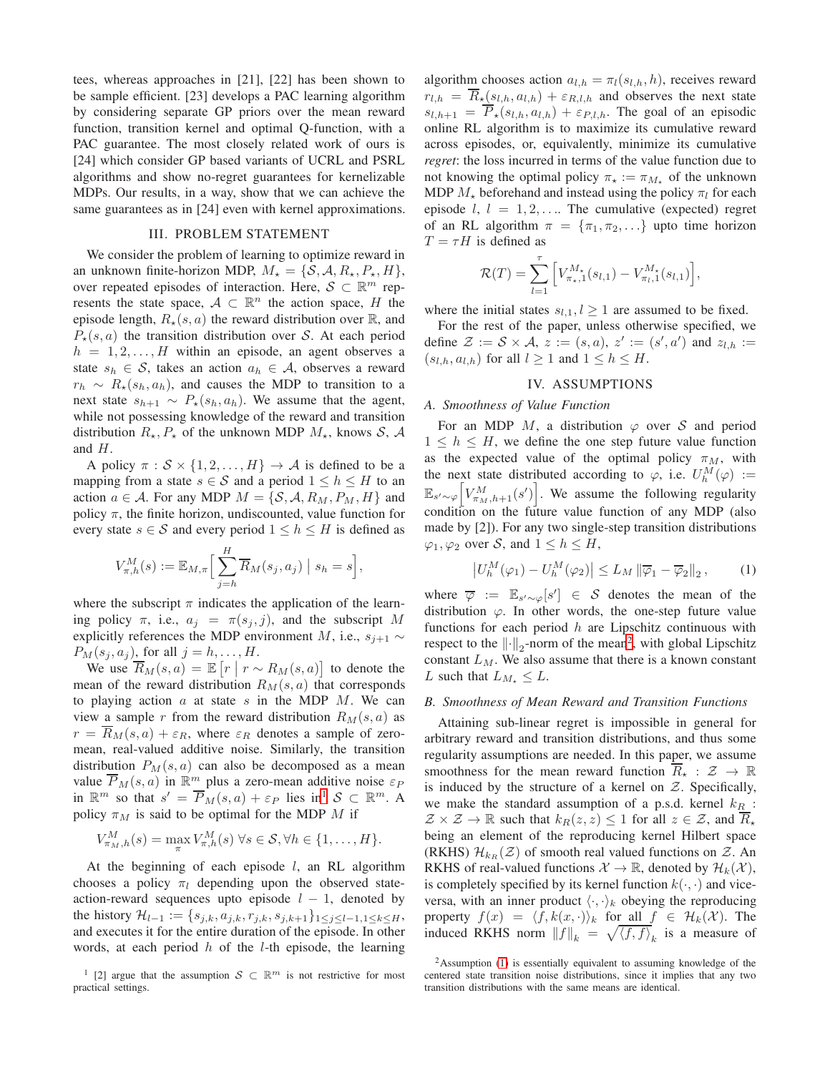tees, whereas approaches in [21], [22] has been shown to be sample efficient. [23] develops a PAC learning algorithm by considering separate GP priors over the mean reward function, transition kernel and optimal Q-function, with a PAC guarantee. The most closely related work of ours is [24] which consider GP based variants of UCRL and PSRL algorithms and show no-regret guarantees for kernelizable MDPs. Our results, in a way, show that we can achieve the same guarantees as in [24] even with kernel approximations.

#### III. PROBLEM STATEMENT

We consider the problem of learning to optimize reward in an unknown finite-horizon MDP,  $M_{\star} = \{S, A, R_{\star}, P_{\star}, H\},\$ over repeated episodes of interaction. Here,  $S \subset \mathbb{R}^m$  represents the state space,  $A \subset \mathbb{R}^n$  the action space, H the episode length,  $R_{\star}(s, a)$  the reward distribution over  $\mathbb{R}$ , and  $P_{\star}(s, a)$  the transition distribution over S. At each period  $h = 1, 2, \ldots, H$  within an episode, an agent observes a state  $s_h \in S$ , takes an action  $a_h \in A$ , observes a reward  $r_h \sim R_{\star}(s_h, a_h)$ , and causes the MDP to transition to a next state  $s_{h+1} \sim P_{\star}(s_h, a_h)$ . We assume that the agent, while not possessing knowledge of the reward and transition distribution  $R_{\star}, P_{\star}$  of the unknown MDP  $M_{\star}$ , knows  $S, A$ and H.

A policy  $\pi : \mathcal{S} \times \{1, 2, ..., H\} \rightarrow \mathcal{A}$  is defined to be a mapping from a state  $s \in S$  and a period  $1 \leq h \leq H$  to an action  $a \in \mathcal{A}$ . For any MDP  $M = \{S, \mathcal{A}, R_M, P_M, H\}$  and policy  $\pi$ , the finite horizon, undiscounted, value function for every state  $s \in S$  and every period  $1 \leq h \leq H$  is defined as

$$
V_{\pi,h}^M(s) := \mathbb{E}_{M,\pi} \Big[ \sum_{j=h}^H \overline{R}_M(s_j,a_j) \Big| s_h = s \Big],
$$

where the subscript  $\pi$  indicates the application of the learning policy  $\pi$ , i.e.,  $a_i = \pi(s_i, j)$ , and the subscript M explicitly references the MDP environment M, i.e.,  $s_{j+1} \sim$  $P_M(s_j, a_j)$ , for all  $j = h, \ldots, H$ .

We use  $\overline{R}_M(s,a) = \mathbb{E}\left[r \mid r \sim R_M(s,a)\right]$  to denote the mean of the reward distribution  $R_M(s, a)$  that corresponds to playing action  $a$  at state  $s$  in the MDP  $M$ . We can view a sample r from the reward distribution  $R_M(s, a)$  as  $r = \overline{R}_M(s, a) + \varepsilon_R$ , where  $\varepsilon_R$  denotes a sample of zeromean, real-valued additive noise. Similarly, the transition distribution  $P_M(s, a)$  can also be decomposed as a mean value  $\overline{P}_M(s, a)$  in  $\mathbb{R}^m$  plus a zero-mean additive noise  $\varepsilon_P$ in  $\mathbb{R}^m$  so that  $s' = \overline{P}_M(s, a) + \varepsilon_P$  lies in<sup>[1](#page-1-0)</sup>  $S \subset \mathbb{R}^m$ . A policy  $\pi_M$  is said to be optimal for the MDP M if

$$
V_{\pi_M,h}^M(s) = \max_{\pi} V_{\pi,h}^M(s) \,\forall s \in \mathcal{S}, \forall h \in \{1,\ldots,H\}.
$$

At the beginning of each episode  $l$ , an RL algorithm chooses a policy  $\pi_l$  depending upon the observed stateaction-reward sequences upto episode  $l - 1$ , denoted by the history  $\mathcal{H}_{l-1} := \{s_{j,k}, a_{j,k}, r_{j,k}, s_{j,k+1}\}_{1 \leq j \leq l-1, 1 \leq k \leq H}$ , and executes it for the entire duration of the episode. In other words, at each period  $h$  of the *l*-th episode, the learning algorithm chooses action  $a_{l,h} = \pi_l(s_{l,h}, h)$ , receives reward  $r_{l,h} = \overline{R}_\star(s_{l,h}, a_{l,h}) + \varepsilon_{R,l,h}$  and observes the next state  $s_{l,h+1} = \overline{P}_\star(s_{l,h}, a_{l,h}) + \varepsilon_{P,l,h}$ . The goal of an episodic online RL algorithm is to maximize its cumulative reward across episodes, or, equivalently, minimize its cumulative *regret*: the loss incurred in terms of the value function due to not knowing the optimal policy  $\pi_{\star} := \pi_{M_{\star}}$  of the unknown MDP  $M_{\star}$  beforehand and instead using the policy  $\pi_l$  for each episode  $l, l = 1, 2, \ldots$  The cumulative (expected) regret of an RL algorithm  $\pi = {\pi_1, \pi_2, \ldots}$  upto time horizon  $T = \tau H$  is defined as

$$
\mathcal{R}(T) = \sum_{l=1}^{\tau} \Big[ V_{\pi_{\star},1}^{M_{\star}}(s_{l,1}) - V_{\pi_{l},1}^{M_{\star}}(s_{l,1}) \Big],
$$

where the initial states  $s_{l,1}$ ,  $l \geq 1$  are assumed to be fixed.

For the rest of the paper, unless otherwise specified, we define  $\mathcal{Z} := \mathcal{S} \times \mathcal{A}, z := (s, a), z' := (s', a')$  and  $z_{l,h} :=$  $(s_{l,h}, a_{l,h})$  for all  $l \geq 1$  and  $1 \leq h \leq H$ .

## IV. ASSUMPTIONS

## <span id="page-1-3"></span>*A. Smoothness of Value Function*

For an MDP  $M$ , a distribution  $\varphi$  over S and period  $1 \leq h \leq H$ , we define the one step future value function as the expected value of the optimal policy  $\pi_M$ , with the next state distributed according to  $\varphi$ , i.e.  $U_h^M(\varphi) :=$  $\mathbb{E}_{s'\sim\varphi}$  $\left[V_{\pi_M,h+1}^M(s')\right]$ . We assume the following regularity condition on the future value function of any MDP (also made by [2]). For any two single-step transition distributions  $\varphi_1, \varphi_2$  over S, and  $1 \leq h \leq H$ ,

<span id="page-1-2"></span>
$$
\left| U_h^M(\varphi_1) - U_h^M(\varphi_2) \right| \le L_M \left\| \overline{\varphi}_1 - \overline{\varphi}_2 \right\|_2, \qquad (1)
$$

where  $\overline{\varphi} := \mathbb{E}_{s' \sim \varphi}[s'] \in S$  denotes the mean of the distribution  $\varphi$ . In other words, the one-step future value functions for each period  $h$  are Lipschitz continuous with respect to the  $\left\|\cdot\right\|_2$  $\left\|\cdot\right\|_2$ -norm of the mean<sup>2</sup>, with global Lipschitz constant  $L_M$ . We also assume that there is a known constant L such that  $L_{M_{\star}} \leq L$ .

#### *B. Smoothness of Mean Reward and Transition Functions*

Attaining sub-linear regret is impossible in general for arbitrary reward and transition distributions, and thus some regularity assumptions are needed. In this paper, we assume smoothness for the mean reward function  $\overline{R}_*$  :  $\mathcal{Z} \to \mathbb{R}$ is induced by the structure of a kernel on  $Z$ . Specifically, we make the standard assumption of a p.s.d. kernel  $k_R$  :  $\mathcal{Z} \times \mathcal{Z} \to \mathbb{R}$  such that  $k_R(z, z) \leq 1$  for all  $z \in \mathcal{Z}$ , and  $\overline{R}_*$ being an element of the reproducing kernel Hilbert space (RKHS)  $\mathcal{H}_{k_R}(\mathcal{Z})$  of smooth real valued functions on  $\mathcal{Z}$ . An RKHS of real-valued functions  $\mathcal{X} \to \mathbb{R}$ , denoted by  $\mathcal{H}_k(\mathcal{X})$ , is completely specified by its kernel function  $k(\cdot, \cdot)$  and viceversa, with an inner product  $\langle \cdot, \cdot \rangle_k$  obeying the reproducing property  $f(x) = \langle f, k(x, \cdot) \rangle_k$  for all  $f \in \mathcal{H}_k(\mathcal{X})$ . The induced RKHS norm  $||f||_k = \sqrt{\langle f, f \rangle}_k$  is a measure of

<span id="page-1-0"></span><sup>&</sup>lt;sup>1</sup> [2] argue that the assumption  $S \subset \mathbb{R}^m$  is not restrictive for most practical settings.

<span id="page-1-1"></span> $2$ Assumption [\(1\)](#page-1-2) is essentially equivalent to assuming knowledge of the centered state transition noise distributions, since it implies that any two transition distributions with the same means are identical.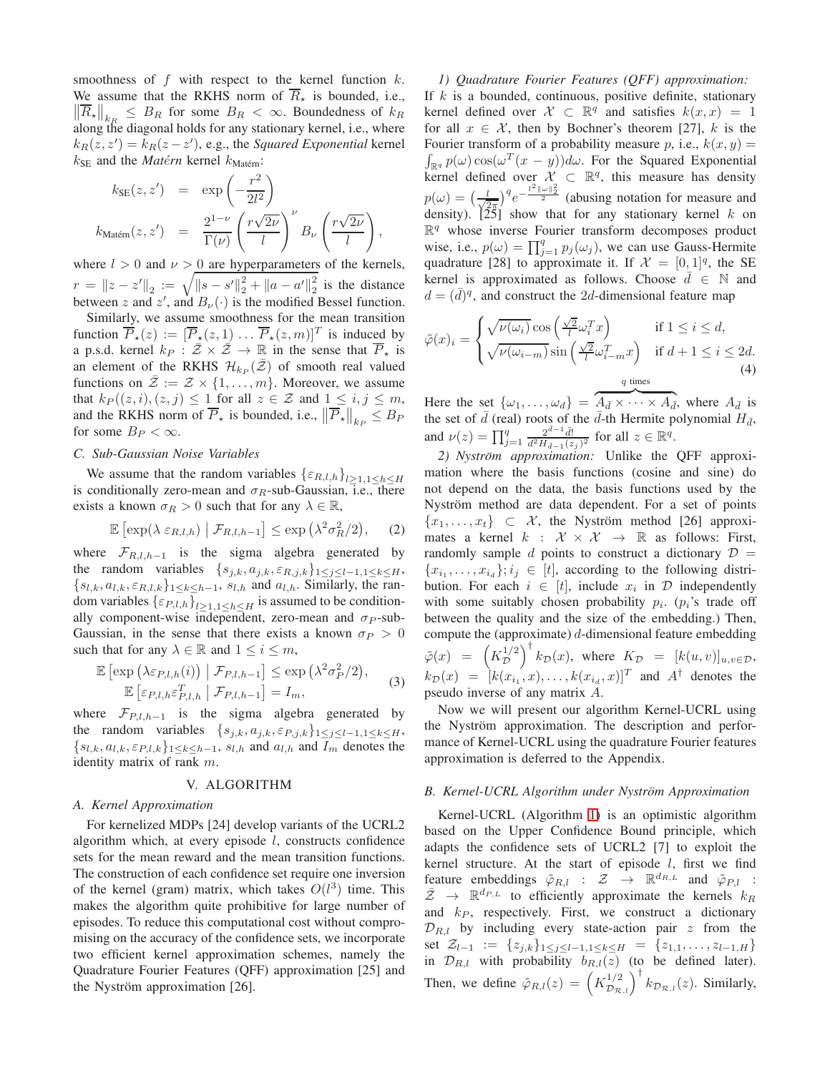smoothness of  $f$  with respect to the kernel function  $k$ . We assume that the RKHS norm of  $\overline{R}_\star$  is bounded, i.e.,  $\left\| \overline{R}_{\star} \right\|_{k_R} \leq B_R$  for some  $B_R < \infty$ . Boundedness of  $k_R$ along the diagonal holds for any stationary kernel, i.e., where  $k_R(z, z') = k_R(z - z')$ , e.g., the *Squared Exponential* kernel  $k_{\text{SE}}$  and the *Matérn* kernel  $k_{\text{Matern}}$ :

$$
k_{\text{SE}}(z, z') = \exp\left(-\frac{r^2}{2l^2}\right)
$$
  

$$
k_{\text{Matérn}}(z, z') = \frac{2^{1-\nu}}{\Gamma(\nu)} \left(\frac{r\sqrt{2\nu}}{l}\right)^{\nu} B_{\nu} \left(\frac{r\sqrt{2\nu}}{l}\right),
$$

where  $l > 0$  and  $\nu > 0$  are hyperparameters of the kernels,  $r = \|z - z'\|_2 := \sqrt{\|s - s'\|_2^2 + \|a - a'\|_2^2}$  $\frac{2}{2}$  is the distance between z and  $z'$ , and  $B_{\nu}(\cdot)$  is the modified Bessel function.

Similarly, we assume smoothness for the mean transition function  $\overline{P}_{\star}(z) := [\overline{P}_{\star}(z,1) \dots \overline{P}_{\star}(z,m)]^T$  is induced by a p.s.d. kernel  $k_P : \overline{Z} \times \overline{Z} \to \mathbb{R}$  in the sense that  $\overline{P}_\star$  is an element of the RKHS  $\mathcal{H}_{k_P}(\bar{Z})$  of smooth real valued functions on  $\overline{\mathcal{Z}} := \mathcal{Z} \times \{1, \ldots, m\}$ . Moreover, we assume that  $k_P((z, i), (z, j) \leq 1$  for all  $z \in \mathcal{Z}$  and  $1 \leq i, j \leq m$ , and the RKHS norm of  $\overline{P}_\star$  is bounded, i.e.,  $\left\| \overline{P_\star} \right\|_{k_P} \leq B_F$ for some  $B_P < \infty$ .

#### *C. Sub-Gaussian Noise Variables*

We assume that the random variables  $\{\varepsilon_{R,l,h}\}_{l>1,1\leq h\leq H}$ is conditionally zero-mean and  $\sigma_R$ -sub-Gaussian, i.e., there exists a known  $\sigma_R > 0$  such that for any  $\lambda \in \mathbb{R}$ ,

$$
\mathbb{E}\left[\exp(\lambda \varepsilon_{R,l,h}) \middle| \mathcal{F}_{R,l,h-1}\right] \le \exp\left(\lambda^2 \sigma_R^2/2\right),\tag{2}
$$

where  $\mathcal{F}_{R,l,h-1}$  is the sigma algebra generated by the random variables  $\{s_{j,k}, a_{j,k}, \varepsilon_{R,j,k}\}_{1 \leq j \leq l-1, 1 \leq k \leq H}$ ,  ${s_{l,k}, a_{l,k}, \varepsilon_{R,l,k}}_{1 \leq k \leq h-1}$ ,  $s_{l,h}$  and  $a_{l,h}$ . Similarly, the random variables  $\{\varepsilon_{P,l,h}\}_{l\geq 1,1\leq h\leq H}$  is assumed to be conditionally component-wise independent, zero-mean and  $\sigma_P$ -sub-Gaussian, in the sense that there exists a known  $\sigma_P > 0$ such that for any  $\lambda \in \mathbb{R}$  and  $1 \leq i \leq m$ ,

$$
\mathbb{E}\left[\exp\left(\lambda \varepsilon_{P,l,h}(i)\right) \middle| \mathcal{F}_{P,l,h-1}\right] \leq \exp\left(\lambda^2 \sigma_P^2/2\right),
$$
  

$$
\mathbb{E}\left[\varepsilon_{P,l,h} \varepsilon_{P,l,h}^T \middle| \mathcal{F}_{P,l,h-1}\right] = I_m,
$$
 (3)

where  $\mathcal{F}_{P,l,h-1}$  is the sigma algebra generated by the random variables  $\{s_{j,k}, a_{j,k}, \varepsilon_{P,j,k}\}_{1 \leq j \leq l-1, 1 \leq k \leq H}$ ,  $\{s_{l,k}, a_{l,k}, \varepsilon_{P,l,k}\}_{1\leq k\leq h-1}$ ,  $s_{l,h}$  and  $a_{l,h}$  and  $I_m$  denotes the identity matrix of rank m.

#### V. ALGORITHM

## *A. Kernel Approximation*

For kernelized MDPs [24] develop variants of the UCRL2 algorithm which, at every episode  $l$ , constructs confidence sets for the mean reward and the mean transition functions. The construction of each confidence set require one inversion of the kernel (gram) matrix, which takes  $O(l^3)$  time. This makes the algorithm quite prohibitive for large number of episodes. To reduce this computational cost without compromising on the accuracy of the confidence sets, we incorporate two efficient kernel approximation schemes, namely the Quadrature Fourier Features (QFF) approximation [25] and the Nyström approximation  $[26]$ .

*1) Quadrature Fourier Features (QFF) approximation:* If  $k$  is a bounded, continuous, positive definite, stationary kernel defined over  $\mathcal{X} \subset \mathbb{R}^q$  and satisfies  $k(x, x) = 1$ for all  $x \in \mathcal{X}$ , then by Bochner's theorem [27], k is the Fourier transform of a probability measure p, i.e.,  $k(x, y) =$  $\int_{\mathbb{R}^q} p(\omega) \cos(\omega^T(x-y)) d\omega$ . For the Squared Exponential kernel defined over  $\mathcal{X} \subset \mathbb{R}^q$ , this measure has density  $p(\omega) = \left(\frac{l}{\sqrt{c}}\right)$  $\frac{l}{2\pi}$ )<sup>q</sup>  $e^{-\frac{l^2 ||\omega||_2^2}{2}}$  (abusing notation for measure and density). [25] show that for any stationary kernel  $k$  on  $\mathbb{R}^q$  whose inverse Fourier transform decomposes product wise, i.e.,  $p(\omega) = \prod_{j=1}^{q} p_j(\omega_j)$ , we can use Gauss-Hermite quadrature [28] to approximate it. If  $\mathcal{X} = [0, 1]^q$ , the SE kernel is approximated as follows. Choose  $\overline{d} \in \mathbb{N}$  and  $d = (\bar{d})^q$ , and construct the 2d-dimensional feature map

<span id="page-2-0"></span>
$$
\tilde{\varphi}(x)_i = \begin{cases}\n\sqrt{\nu(\omega_i)} \cos\left(\frac{\sqrt{2}}{l}\omega_i^T x\right) & \text{if } 1 \le i \le d, \\
\sqrt{\nu(\omega_{i-m})} \sin\left(\frac{\sqrt{2}}{l}\omega_{i-m}^T x\right) & \text{if } d+1 \le i \le 2d.\n\end{cases}
$$
\n(4)

Here the set  $\{\omega_1, \dots, \omega_d\} = \underbrace{\widetilde{A}_{\bar{d}} \times \cdots \times \widetilde{A}_{\bar{d}}}_{\bar{d}}$ , where  $A_{\bar{d}}$  is the set of  $\bar{d}$  (real) roots of the  $\bar{d}$ -th Hermite polynomial  $H_{\bar{d}}$ , and  $\nu(z) = \prod_{j=1}^{q} \frac{2^{\bar{d}-1} \bar{d}!}{\bar{d}^2 H_{\bar{d}-1}(z)}$  $\frac{2^{d-1}\bar{d}!}{\bar{d}^2H_{\bar{d}-1}(z_j)^2}$  for all  $z \in \mathbb{R}^q$ .

2) Nyström approximation: Unlike the QFF approximation where the basis functions (cosine and sine) do not depend on the data, the basis functions used by the Nyström method are data dependent. For a set of points  ${x_1, \ldots, x_t} \subset \mathcal{X}$ , the Nyström method [26] approximates a kernel  $k : \mathcal{X} \times \mathcal{X} \rightarrow \mathbb{R}$  as follows: First, randomly sample d points to construct a dictionary  $\mathcal{D}$  =  ${x_{i_1}, \ldots, x_{i_d}}$ ;  $i_j \in [t]$ , according to the following distribution. For each  $i \in [t]$ , include  $x_i$  in  $\mathcal{D}$  independently with some suitably chosen probability  $p_i$ .  $(p_i)$ 's trade off between the quality and the size of the embedding.) Then, compute the (approximate)  $d$ -dimensional feature embedding  $\tilde{\varphi}(x) = \left(K_{\mathcal{D}}^{1/2}\right)$  $\overline{\nu}$  $\int_0^{\dagger} k_{\mathcal{D}}(x)$ , where  $K_{\mathcal{D}} = [k(u, v)]_{u, v \in \mathcal{D}}$ ,  $k_{\mathcal{D}}(x) = [k(x_{i_1}, x), \dots, k(x_{i_d}, x)]^T$  and  $A^{\dagger}$  denotes the pseudo inverse of any matrix A.

Now we will present our algorithm Kernel-UCRL using the Nyström approximation. The description and performance of Kernel-UCRL using the quadrature Fourier features approximation is deferred to the Appendix.

#### *B. Kernel-UCRL Algorithm under Nystrom Approximation ¨*

Kernel-UCRL (Algorithm [1\)](#page-5-0) is an optimistic algorithm based on the Upper Confidence Bound principle, which adapts the confidence sets of UCRL2 [7] to exploit the kernel structure. At the start of episode  $l$ , first we find feature embeddings  $\tilde{\varphi}_{R,l}$  :  $\mathcal{Z} \rightarrow \mathbb{R}^{d_{R,L}}$  and  $\tilde{\varphi}_{P,l}$  :  $\bar{Z} \rightarrow \mathbb{R}^{d_{P,L}}$  to efficiently approximate the kernels  $k_R$ and  $k_P$ , respectively. First, we construct a dictionary  $\mathcal{D}_{R,l}$  by including every state-action pair z from the set  $\mathcal{Z}_{l-1} := \{z_{j,k}\}_{1 \leq j \leq l-1, 1 \leq k \leq H} = \{z_{1,1}, \ldots, z_{l-1,H}\}$ in  $\mathcal{D}_{R,l}$  with probability  $b_{R,l}(\overline{z})$  (to be defined later). Then, we define  $\tilde{\varphi}_{R,l}(z) = \left(K_{\mathcal{D}_{\mathcal{R},l}}^{1/2}\right)^{\dagger} k_{\mathcal{D}_{\mathcal{R},l}}(z)$ . Similarly,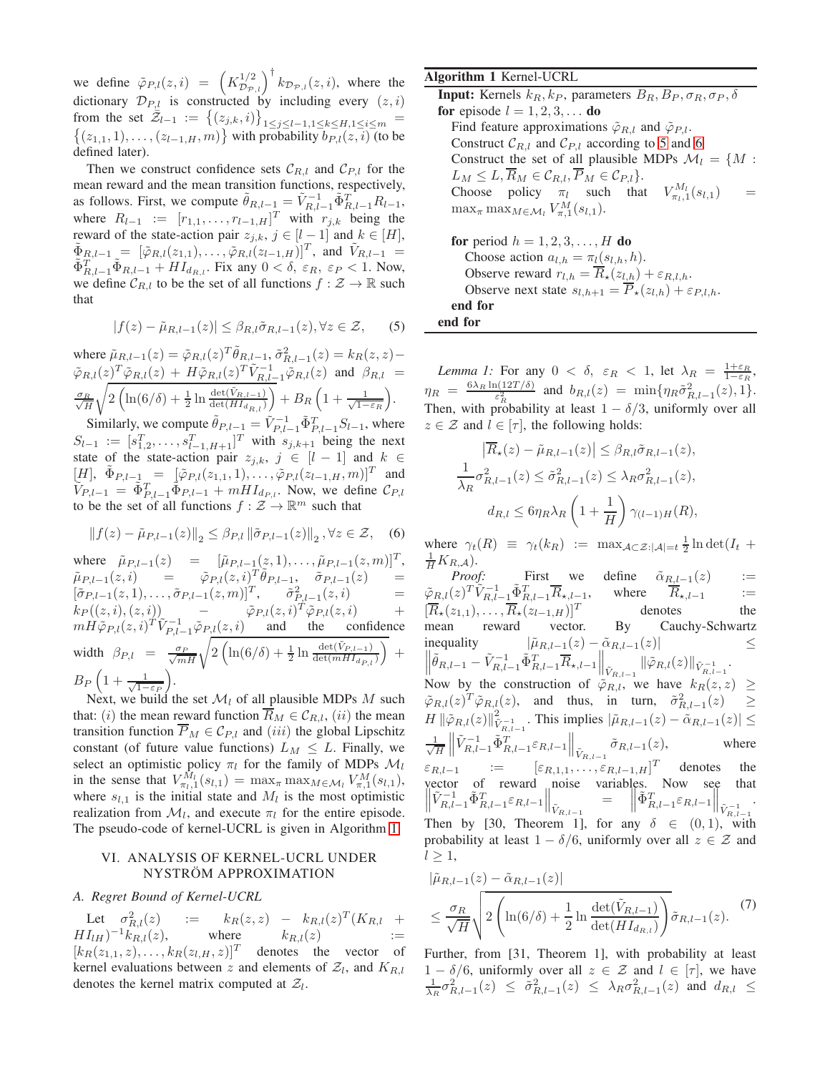we define  $\tilde{\varphi}_{P,l}(z,i) = \left(K_{\mathcal{D}_{\mathcal{P},l}}^{1/2}\right)^{\dagger} k_{\mathcal{D}_{\mathcal{P},l}}(z,i)$ , where the dictionary  $\mathcal{D}_{P,l}$  is constructed by including every  $(z, i)$ from the set  $\overline{\tilde{Z}}_{l-1} := \{(z_{j,k}, i)\}\$ 1≤j≤l−1,1≤k≤H,1≤i≤m =  $\{(z_{1,1}, 1), \ldots, (z_{l-1,H}, m)\}\$  with probability  $b_{P,l}(z, i)$  (to be defined later).

Then we construct confidence sets  $\mathcal{C}_{R,l}$  and  $\mathcal{C}_{P,l}$  for the mean reward and the mean transition functions, respectively, as follows. First, we compute  $\tilde{\theta}_{R,l-1} = \tilde{V}_{R,l-1}^{-1} \tilde{\Phi}_{R,l-1}^{T} R_{l-1}$ , where  $R_{l-1} := [r_{1,1}, \ldots, r_{l-1,H}]^T$  with  $r_{j,k}$  being the reward of the state-action pair  $z_{j,k}$ ,  $j \in [l-1]$  and  $k \in [H]$ ,  $\tilde{\Phi}_{R,l-1} = [\tilde{\varphi}_{R,l}(z_{1,1}), \ldots, \tilde{\varphi}_{R,l}(z_{l-1,H})]^T$ , and  $\tilde{V}_{R,l-1} =$  $\tilde{\Phi}_{R,l-1}^T \tilde{\Phi}_{R,l-1} + H I_{d_{R,l}}$ . Fix any  $0 < \delta$ ,  $\varepsilon_R$ ,  $\varepsilon_P < 1$ . Now, we define  $C_{R,l}$  to be the set of all functions  $f : \mathcal{Z} \to \mathbb{R}$  such that

<span id="page-3-0"></span>
$$
|f(z) - \tilde{\mu}_{R,l-1}(z)| \leq \beta_{R,l} \tilde{\sigma}_{R,l-1}(z), \forall z \in \mathcal{Z}, \qquad (5)
$$

where  $\tilde{\mu}_{R,l-1}(z) = \tilde{\varphi}_{R,l}(z)^T \tilde{\theta}_{R,l-1}, \tilde{\sigma}_{R,l-1}^2(z) = k_R(z, z) R,l-1$  $\tilde{\varphi}_{R,l}(z)^T \tilde{\varphi}_{R,l}(z) + H \tilde{\varphi}_{R,l}(z)^T \tilde{V}_{R,l-1}^{-1} \tilde{\varphi}_{R,l}(z)$  and  $\beta_{R,l} =$ √σR H <sup>1</sup>  $2\left(\ln(6/\delta) + \frac{1}{2}\ln\frac{\det(\tilde{V}_{R,l-1})}{\det(HI_{d_{R,l}})}\right)$  $+ B_R \left( 1 + \frac{1}{\sqrt{1 - \varepsilon_R}} \right)$ .

Similarly, we compute  $\tilde{\theta}_{P,l-1} = \tilde{V}_{P,l-1}^{-1} \tilde{\Phi}_{P,l-1}^T S_{l-1}$ , where  $S_{l-1} := [s_{1,2}^T, \dots, s_{l-1,H+1}^T]^T$  with  $s_{j,k+1}$  being the next state of the state-action pair  $z_{j,k}$ ,  $j \in [l-1]$  and  $k \in$  $[\underline{H}]$ ,  $\tilde{\Phi}_{P,l-\frac{1}{2},m} = [\tilde{\varphi}_{P,l}(z_{1,1}, 1), \ldots, \tilde{\varphi}_{P,l}(z_{l-1,H}, m)]^T$  and  $\tilde{V}_{P,l-1} = \tilde{\Phi}_{P,l-1}^T \tilde{\Phi}_{P,l-1} + m H I_{d_{P,l}}$ . Now, we define  $\mathcal{C}_{P,l}$ to be the set of all functions  $f : \mathcal{Z} \to \mathbb{R}^m$  such that

$$
||f(z) - \tilde{\mu}_{P,l-1}(z)||_2 \le \beta_{P,l} ||\tilde{\sigma}_{P,l-1}(z)||_2, \forall z \in \mathcal{Z}, \quad (6)
$$

where  $\tilde{\mu}_{P,l-1}(z) = [\tilde{\mu}_{P,l-1}(z, 1), \dots, \tilde{\mu}_{P,l-1}(z, m)]^T$ ,  $\tilde{\mu}_{P,l-1}(z,i) \quad = \quad \tilde{\varphi}_{P,l}(z,i)_T^T \tilde{\theta}_{P,l-1}, \quad \tilde{\sigma}_{P,l-1}(z) \quad =$  $[\tilde{\sigma}_{P,l-1}(z,1), \ldots, \tilde{\sigma}_{P,l-1}(z,m)]^T$ ,  $\tilde{\sigma}_{P,l-1}^2(z,i)$  =  $k_P((z, i), (z, i))$  –  $\tilde{\varphi}_{P,l}(z, i)$  $\tilde{\varphi}_{P,l}(z,i)^T \tilde{\varphi}_{P,l}(z,i)$  $mH\tilde{\varphi}_{P,l}(z,i)^{T}\tilde{V}_{P,l-1}^{-1}\tilde{\varphi}_{P,l}(z,i)$  and the confidence width  $\beta_{P,l} = \frac{\sigma_P}{\sqrt{mH}} \sqrt{2 \left( \ln(6/\delta) + \frac{1}{2} \ln \frac{\det(\tilde{V}_{P,l-1})}{\det(mHI_{d_{P,l}})} \right)}$  $+$  $B_P\left(1+\frac{1}{\sqrt{1-\varepsilon_P}}\right)$ .

Next, we build the set  $\mathcal{M}_l$  of all plausible MDPs M such that: (i) the mean reward function  $\overline{R}_M \in C_{R,l}$ , (ii) the mean transition function  $\overline{P}_M \in \mathcal{C}_{P,l}$  and (iii) the global Lipschitz constant (of future value functions)  $L_M \leq L$ . Finally, we select an optimistic policy  $\pi_l$  for the family of MDPs  $\mathcal{M}_l$ in the sense that  $V_{\pi_l,1}^{M_l}(s_{l,1}) = \max_{\pi} \max_{M \in \mathcal{M}_l} V_{\pi,1}^{M}(s_{l,1}),$ where  $s_{l,1}$  is the initial state and  $M_l$  is the most optimistic realization from  $\mathcal{M}_l$ , and execute  $\pi_l$  for the entire episode. The pseudo-code of kernel-UCRL is given in Algorithm [1.](#page-5-0)

## VI. ANALYSIS OF KERNEL-UCRL UNDER NYSTRÖM APPROXIMATION

#### *A. Regret Bound of Kernel-UCRL*

<span id="page-3-3"></span>Let  $\sigma_F^2$  $R_{R,l}(z)$  :=  $k_R(z, z) - k_{R,l}(z)^T (K_{R,l} + z)$  $H I_{lH}$ )<sup>-1</sup> $k_{R,l}(z)$ , where  $k_{R,l}(z)$  :=  $[k_R(z_{1,1}, z), \ldots, k_R(z_{l,H}, z)]^T$  denotes the vector of kernel evaluations between z and elements of  $Z_l$ , and  $K_{R,l}$ denotes the kernel matrix computed at  $Z_l$ .

## Algorithm 1 Kernel-UCRL **Input:** Kernels  $k_B, k_P$ , parameters  $B_R, B_P, \sigma_R, \sigma_P, \delta$ for episode  $l = 1, 2, 3, \dots$  do Find feature approximations  $\tilde{\varphi}_{R,l}$  and  $\tilde{\varphi}_{P,l}$ . Construct  $C_{R,l}$  and  $C_{P,l}$  according to [5](#page-3-0) and [6](#page-3-1) Construct the set of all plausible MDPs  $\mathcal{M}_l = \{M :$  $L_M \leq L, \overline{R}_M \in \mathcal{C}_{R,l}, \overline{P}_M \in \mathcal{C}_{P,l}$ . Choose policy  $\pi_l$  such that  $V_{\pi_l,1}^{M_l}(s_{l,1})$  =  $\max_{\pi} \max_{M \in \mathcal{M}_l} V_{\pi,1}^M(s_{l,1}).$ for period  $h = 1, 2, 3, \ldots, H$  do

Choose action  $a_{l,h} = \pi_l(s_{l,h}, h)$ . Observe reward  $r_{l,h} = \overline{R}_\star(z_{l,h}) + \varepsilon_{R,l,h}$ . Observe next state  $s_{l,h+1} = \overline{P}_\star(z_{l,h}) + \varepsilon_{P,l,h}$ . end for end for

*Lemma 1:* For any  $0 < \delta$ ,  $\varepsilon_R < 1$ , let  $\lambda_R = \frac{1+\varepsilon_R}{1-\varepsilon_R}$ ,  $\eta_R = \frac{6\lambda_R \ln(12T/\delta)}{\varepsilon^2}$  $\frac{\partial^2 \left(12T/\delta\right)}{\varepsilon_R^2}$  and  $b_{R,l}(z) = \min\{\eta_R \tilde{\sigma}_{R,l-1}^2(z), 1\}.$ Then, with probability at least  $1 - \delta/3$ , uniformly over all  $z \in \mathcal{Z}$  and  $l \in [\tau]$ , the following holds:

$$
\left| \overline{R}_{\star}(z) - \tilde{\mu}_{R,l-1}(z) \right| \leq \beta_{R,l} \tilde{\sigma}_{R,l-1}(z),
$$
  

$$
\frac{1}{\lambda_R} \sigma_{R,l-1}^2(z) \leq \tilde{\sigma}_{R,l-1}^2(z) \leq \lambda_R \sigma_{R,l-1}^2(z),
$$
  

$$
d_{R,l} \leq 6 \eta_R \lambda_R \left( 1 + \frac{1}{H} \right) \gamma_{(l-1)H}(R),
$$

<span id="page-3-1"></span>where  $\gamma_t(R) \equiv \gamma_t(k_R) := \max_{A \subset \mathcal{Z}: |A|=t} \frac{1}{2} \ln \det(I_t +$  $\frac{1}{H}K_{R,\mathcal{A}}).$ 

*Proof:* First we define  $\tilde{\alpha}_{R,l-1}(z)$  :=<br> $(z)^T \tilde{V}_{R,l-1}^{-1} \tilde{\Phi}_{R,l-1}^T \overline{R}_{\star l-1}$ , where  $\tilde{R}_{\star l-1}$  :=  $\tilde{\varphi}_{R,l}(z)^T \tilde{V}_{R,l-\underline{1}}^{-1} \tilde{\Phi}_R^T$ where  $\overline{R}_{\star,l-1}$  :=<br>denotes the  $[\overline{R}_{\star}(z_{1,1}), \ldots, \overline{R}_{\star}(z_{l-1,H})]^T$ <br>mean reward vector. By Cauchy-Schwartz inequality  $|\tilde{\mu}_{R,l-1}(z) - \tilde{\alpha}_{R,l-1}(z)|$   $\leq$  $\left\|\tilde{\theta}_{R,l-1}-\tilde{V}_{R,l-1}^{-1}\tilde{\Phi}_{R,l-1}^{T}\overline{R}_{\star,l-1}\right\|_{\tilde{V}_{R,l-1}}\|\tilde{\varphi}_{R,l}(z)\|_{\tilde{V}_{R,l-1}^{-1}}.$ Now by the construction of  $\tilde{\varphi}_{R,l}$ , we have  $k_R(z, z) \geq$  $(\tilde{\varphi}_{R,l}(z))^T \tilde{\varphi}_{R,l}(z)$ , and thus, in turn,  $\tilde{\sigma}_{R,l-1}^2(z) \geq$  $H \|\tilde{\varphi}_{R,l}(z)\|_{\tilde{V}_{R,l-1}^{-1}}^2$ . This implies  $|\tilde{\mu}_{R,l-1}(z) - \tilde{\alpha}_{R,l-1}(z)| \leq$ √ 1 H  $\left\| \tilde{V}_{R,l-1}^{-1} \tilde{\Phi}_{R,l-1}^{T} \varepsilon_{R,l-1} \right\|_{\tilde{V}_{R,l-1}} \tilde{\sigma}_{R,l-1}(z),$  where  $\varepsilon_{R,l-1}$  :=  $\left[\varepsilon_{R,1,1},\ldots,\varepsilon_{R,l-1,H}\right]^T$  denotes the vector of reward noise variables. Now see that<br>  $\left\|\tilde{V}_{R,l-1}^{-1}\tilde{\Phi}_{R,l-1}^{T}\varepsilon_{R,l-1}\right\|_{\tilde{V}_{R,l-1}^{-1}} = \left\|\tilde{\Phi}_{R,l-1}^{T}\varepsilon_{R,l-1}\right\|_{\tilde{V}_{R,l-1}^{-1}}.$ . Then by [30, Theorem 1], for any  $\delta \in (0,1)$ , with probability at least  $1 - \delta/6$ , uniformly over all  $z \in \mathcal{Z}$  and  $l \geq 1,$ 

<span id="page-3-2"></span>
$$
|\tilde{\mu}_{R,l-1}(z) - \tilde{\alpha}_{R,l-1}(z)|
$$
  
\n
$$
\leq \frac{\sigma_R}{\sqrt{H}} \sqrt{2 \left( \ln(6/\delta) + \frac{1}{2} \ln \frac{\det(\tilde{V}_{R,l-1})}{\det(HI_{d_{R,l}})} \right)} \tilde{\sigma}_{R,l-1}(z).
$$
 (7)

Further, from [31, Theorem 1], with probability at least  $1 - \delta/6$ , uniformly over all  $z \in \mathcal{Z}$  and  $l \in [\tau]$ , we have  $\frac{1}{\lambda_R} \sigma_{R,l-1}^2(z) \leq \tilde{\sigma}_{R,l-1}^2(z) \leq \lambda_R \sigma_{R,l-1}^2(z)$  and  $d_{R,l} \leq$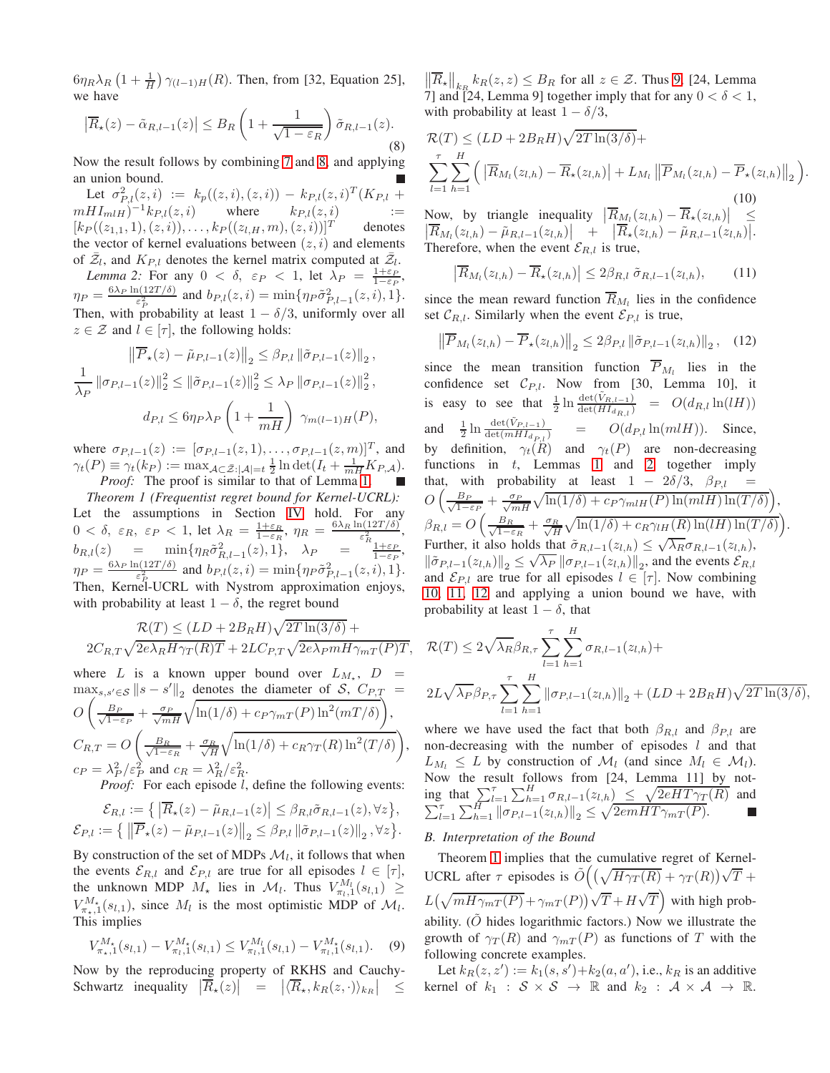$6\eta_R\lambda_R\left(1+\frac{1}{H}\right)\gamma_{(l-1)H}(R)$ . Then, from [32, Equation 25], we have

<span id="page-4-0"></span>
$$
\left|\overline{R}_{\star}(z) - \tilde{\alpha}_{R,l-1}(z)\right| \leq B_R \left(1 + \frac{1}{\sqrt{1 - \varepsilon_R}}\right) \tilde{\sigma}_{R,l-1}(z). \tag{8}
$$

Now the result follows by combining [7](#page-3-2) and [8,](#page-4-0) and applying an union bound.

Let  $\sigma_{P,l}^2(z, i) := k_P((z, i), (z, i)) - k_{P,l}(z, i)^T (K_{P,l} +$  $mHI_{m1H}$  $)^{-1}k_{P,l}(z, i)$  where  $k_{P,l}(z, i)$  :=  $[k_P((z_{1,1}, 1), (z, i)), \ldots, k_P((z_{l,H}, m), (z, i))]^T$  denotes the vector of kernel evaluations between  $(z, i)$  and elements of  $\bar{Z}_l$ , and  $K_{P,l}$  denotes the kernel matrix computed at  $\bar{Z}_l$ .

<span id="page-4-2"></span>*Lemma 2:* For any  $0 < \delta$ ,  $\varepsilon_P < 1$ , let  $\lambda_P = \frac{1+\varepsilon_P}{1-\varepsilon_P}$ ,  $1-\varepsilon_P$  $\eta_P = \frac{6\lambda_P \ln(12T/\delta)}{\varepsilon^2}$  $\frac{h(12T/\delta)}{\epsilon_P^2}$  and  $b_{P,l}(z, i) = \min\{\eta_P \tilde{\sigma}_{P,l-1}^2(z, i), 1\}.$ Then, with probability at least  $1 - \delta/3$ , uniformly over all  $z \in \mathcal{Z}$  and  $l \in [\tau]$ , the following holds:

$$
\|\overline{P}_{\star}(z) - \tilde{\mu}_{P,l-1}(z)\|_{2} \leq \beta_{P,l} \|\tilde{\sigma}_{P,l-1}(z)\|_{2},
$$
  

$$
\frac{1}{\lambda_{P}} \|\sigma_{P,l-1}(z)\|_{2}^{2} \leq \|\tilde{\sigma}_{P,l-1}(z)\|_{2}^{2} \leq \lambda_{P} \|\sigma_{P,l-1}(z)\|_{2}^{2},
$$
  

$$
d_{P,l} \leq 6\eta_{P}\lambda_{P} \left(1 + \frac{1}{mH}\right) \gamma_{m(l-1)H}(P),
$$

where  $\sigma_{P,l-1}(z) := [\sigma_{P,l-1}(z,1), \ldots, \sigma_{P,l-1}(z,m)]^T$ , and  $\gamma_t(P) \equiv \gamma_t(k_P) := \max_{A \subset \bar{\mathcal{Z}} : |A|=t} \frac{1}{2} \ln \det(I_t + \frac{1}{mH} K_{P,A}).$ *Proof:* The proof is similar to that of Lemma [1.](#page-3-3)

<span id="page-4-6"></span>*Theorem 1 (Frequentist regret bound for Kernel-UCRL):* Let the assumptions in Section [IV](#page-1-3) hold. For any  $0 < \delta$ ,  $\varepsilon_R$ ,  $\varepsilon_P < 1$ , let  $\lambda_R = \frac{1+\varepsilon_R}{1-\varepsilon_R}$ ,  $\eta_R = \frac{6\lambda_R \ln(12T/\delta)}{\varepsilon_{R_{AA}}^2}$  $rac{1(12I/\theta)}{\varepsilon_{R_{1}}^{2}},$  $b_{R,l}(z) = \min\{\eta_R \tilde{\sigma}_{R,l-1}^2(z), 1\}, \quad \lambda_P = \frac{\tilde{\sigma}_{1+\varepsilon_P}^2}{1-\varepsilon_P},$  $\eta_P = \frac{6\lambda_P \ln(12T/\delta)}{\varepsilon^2}$  $\frac{\partial^2 [(12T/\delta)]}{\partial \varepsilon_P^2}$  and  $b_{P,l}(z,i) = \min\{\eta_P \tilde{\sigma}_{P,l-1}^2(z,i),1\}.$ Then, Kernel-UCRL with Nystrom approximation enjoys, with probability at least  $1 - \delta$ , the regret bound

$$
\mathcal{R}(T) \leq (LD + 2B_R H) \sqrt{2T \ln(3/\delta)} + 2C_{R,T} \sqrt{2e\lambda_R H \gamma_T(R)T} + 2LC_{P,T} \sqrt{2e\lambda_P m H \gamma_{mT}(P)T},
$$

where L is a known upper bound over  $L_{M_{\star}}, D =$  $\max_{s,s'\in\mathcal{S}} \|s-s'\|_2$  denotes the diameter of S,  $C_{P,T}$  =  $\overline{O}$  $\sqrt{ }$  $\frac{B_P}{\sqrt{1-\epsilon}}$  $\frac{B_P}{1-\varepsilon_P} + \frac{\sigma_P}{\sqrt{mH}} \sqrt{\ln(1/\delta) + c_P \gamma_{mT}(P) \ln^2(mT/\delta)}$  $\bar{\wedge}$ ,  $C_{R,T} = O$  $\sqrt{ }$  $\frac{B_R}{\sqrt{1-\epsilon}}$  $\frac{B_R}{1-\varepsilon_R}+\frac{\sigma_R}{\sqrt{H}}$  $\sqrt{\ln(1/\delta) + c_R \gamma_T(R) \ln^2(T/\delta)}$  $\setminus$ ,  $c_P = \lambda_P^2 / \varepsilon_P^2$  and  $c_R = \lambda_R^2 / \varepsilon_R^2$ .

*Proof:* For each episode *l*, define the following events:

$$
\mathcal{E}_{R,l} := \left\{ \left. \left| \overline{R}_{\star}(z) - \tilde{\mu}_{R,l-1}(z) \right| \leq \beta_{R,l} \tilde{\sigma}_{R,l-1}(z), \forall z \right\},\right.\\ \mathcal{E}_{P,l} := \left\{ \left. \left\| \overline{P}_{\star}(z) - \tilde{\mu}_{P,l-1}(z) \right\|_{2} \leq \beta_{P,l} \left\| \tilde{\sigma}_{P,l-1}(z) \right\|_{2}, \forall z \right\}.
$$

By construction of the set of MDPs  $\mathcal{M}_l$ , it follows that when the events  $\mathcal{E}_{R,l}$  and  $\mathcal{E}_{P,l}$  are true for all episodes  $l \in [\tau]$ , the unknown MDP  $M_{\star}$  lies in  $\mathcal{M}_{l}$ . Thus  $V_{\pi_l,1}^{M_l}(s_{l,1}) \geq$  $V_{\pi_{\star},1}^{M_{\star}}(s_{l,1}),$  since  $M_l$  is the most optimistic MDP of  $M_l$ . This implies

<span id="page-4-1"></span>
$$
V_{\pi_{\star},1}^{M_{\star}}(s_{l,1}) - V_{\pi_{l},1}^{M_{\star}}(s_{l,1}) \leq V_{\pi_{l},1}^{M_{l}}(s_{l,1}) - V_{\pi_{l},1}^{M_{\star}}(s_{l,1}). \tag{9}
$$

Now by the reproducing property of RKHS and Cauchy-Schwartz inequality  $\left| \overline{R}_{\star}(z) \right| = \left| \langle \overline{R}_{\star}, k_R(z, \cdot) \rangle_{k_R} \right|$  ≤

 $\left\| \overline{R}_\star \right\|_{k_R} k_R(z, z) \leq B_R$  for all  $z \in \mathcal{Z}$ . Thus [9,](#page-4-1) [24, Lemma 7] and [24, Lemma 9] together imply that for any  $0 < \delta < 1$ , with probability at least  $1 - \delta/3$ ,

<span id="page-4-3"></span>
$$
\mathcal{R}(T) \leq (LD + 2B_R H) \sqrt{2T \ln(3/\delta)} +
$$
\n
$$
\sum_{l=1}^{\tau} \sum_{h=1}^{H} \left( \left| \overline{R}_{M_l}(z_{l,h}) - \overline{R}_{\star}(z_{l,h}) \right| + L_{M_l} \left\| \overline{P}_{M_l}(z_{l,h}) - \overline{P}_{\star}(z_{l,h}) \right\|_2 \right)
$$
\n(10)\nNow, by triangle inequality 
$$
\left| \overline{R}_{M_l}(z_{l,h}) - \overline{R}_{\star}(z_{l,h}) \right| \leq \left| \overline{R}_{M_l}(z_{l,h}) - \tilde{\mu}_{R,l-1}(z_{l,h}) \right| + \left| \overline{R}_{\star}(z_{l,h}) - \tilde{\mu}_{R,l-1}(z_{l,h}) \right|.
$$
\nTherefore, when the event  $\mathcal{E}_{R,l}$  is true,

<span id="page-4-5"></span><span id="page-4-4"></span>.

$$
\left|\overline{R}_{M_l}(z_{l,h}) - \overline{R}_{\star}(z_{l,h})\right| \le 2\beta_{R,l} \,\tilde{\sigma}_{R,l-1}(z_{l,h}),\qquad(11)
$$

since the mean reward function  $\overline{R}_{M_l}$  lies in the confidence set  $C_{R,l}$ . Similarly when the event  $\mathcal{E}_{P,l}$  is true,

$$
\left\| \overline{P}_{M_l}(z_{l,h}) - \overline{P}_{\star}(z_{l,h}) \right\|_2 \le 2\beta_{P,l} \left\| \tilde{\sigma}_{P,l-1}(z_{l,h}) \right\|_2, \quad (12)
$$

since the mean transition function  $P_{M_l}$  lies in the confidence set  $C_{P,l}$ . Now from [30, Lemma 10], it is easy to see that  $\frac{1}{2} \ln \frac{\det(\tilde{V}_{R,l-1})}{\det(HI_{d_{R,l}})} = O(d_{R,l} \ln(lH))$ and  $\frac{1}{2} \ln \frac{\det(\tilde{V}_{P,l-1})}{\det(mHI_{d_{P,l}})}$  =  $O(d_{P,l} \ln(mlH)).$  Since, by definition,  $\gamma_t(R)$  and  $\gamma_t(P)$  are non-decreasing functions in  $t$ , Lemmas [1](#page-3-3) and [2](#page-4-2) together imply that, with probability at least  $1 - 2\delta/3$ ,  $\beta_{P,l} =$  $O\left(\frac{B_P}{\sqrt{1-\epsilon}}\right)$  $\frac{B_P}{1-\varepsilon_P} + \frac{\sigma_P}{\sqrt{mH}} \sqrt{\ln(1/\delta) + c_P \gamma_{mlH}(P) \ln(mlH) \ln(T/\delta)}$  $\left($ ,  $\beta_{R,l} = O\left(\frac{B_R}{\sqrt{1-\beta}}\right)$  $\frac{B_R}{1-\varepsilon_R} + \frac{\sigma_R}{\sqrt{H}} \sqrt{\ln(1/\delta) + c_R \gamma_{lH}(R) \ln(lH) \ln(T/\delta)}$ . Further, it also holds that  $\tilde{\sigma}_{R,l-1}(z_{l,h}) \leq \sqrt{\lambda_R \sigma_{R,l-1}(z_{l,h})}$ , √  $\|\tilde{\sigma}_{P,l-1}(z_{l,h})\|_2 \leq \sqrt{\lambda_P} \|\sigma_{P,l-1}(z_{l,h})\|_2$ , and the events  $\mathcal{E}_{R,l}$ and  $\mathcal{E}_{P,l}$  are true for all episodes  $l \in [\tau]$ . Now combining [10,](#page-4-3) [11,](#page-4-4) [12](#page-4-5) and applying a union bound we have, with probability at least  $1 - \delta$ , that

$$
\mathcal{R}(T) \le 2\sqrt{\lambda_R} \beta_{R,\tau} \sum_{l=1}^{\tau} \sum_{h=1}^{H} \sigma_{R,l-1}(z_{l,h}) +
$$
  

$$
2L\sqrt{\lambda_P} \beta_{P,\tau} \sum_{l=1}^{\tau} \sum_{h=1}^{H} ||\sigma_{P,l-1}(z_{l,h})||_2 + (LD + 2B_R H) \sqrt{2T \ln(3/\delta)},
$$

where we have used the fact that both  $\beta_{R,l}$  and  $\beta_{P,l}$  are non-decreasing with the number of episodes  $l$  and that  $L_{M_l} \leq L$  by construction of  $\mathcal{M}_l$  (and since  $M_l \in \mathcal{M}_l$ ). Now the result follows from [24, Lemma 11] by noting that  $\sum_{l=1}^{\tau} \sum_{h=1}^{H} \sigma_{R,l-1}(z_{l,h}) \leq \sqrt{2eHT\gamma_T(R)}$  and  $\sum_{l=1}^{\tau} \sum_{h=1}^H \|\sigma_{P,l-1}(z_{l,h})\|_2 \leq \sqrt{2emHT\gamma_{mT}(P)}.$ 

## *B. Interpretation of the Bound*

Theorem [1](#page-4-6) implies that the cumulative regret of Kernel-UCRL after  $\tau$  episodes is  $\tilde{O}((\sqrt{H\gamma_T(R)} + \gamma_T(R))\sqrt{T} +$  $L(\sqrt{mH\gamma_{mT}(P)} + \gamma_{mT}(P))\sqrt{T} + H\sqrt{T}$  with high probability.  $(O$  hides logarithmic factors.) Now we illustrate the growth of  $\gamma_T(R)$  and  $\gamma_{mT}(P)$  as functions of T with the following concrete examples.

Let  $k_R(z, z') := k_1(s, s') + k_2(a, a')$ , i.e.,  $k_R$  is an additive kernel of  $k_1 : S \times S \rightarrow \mathbb{R}$  and  $k_2 : A \times A \rightarrow \mathbb{R}$ .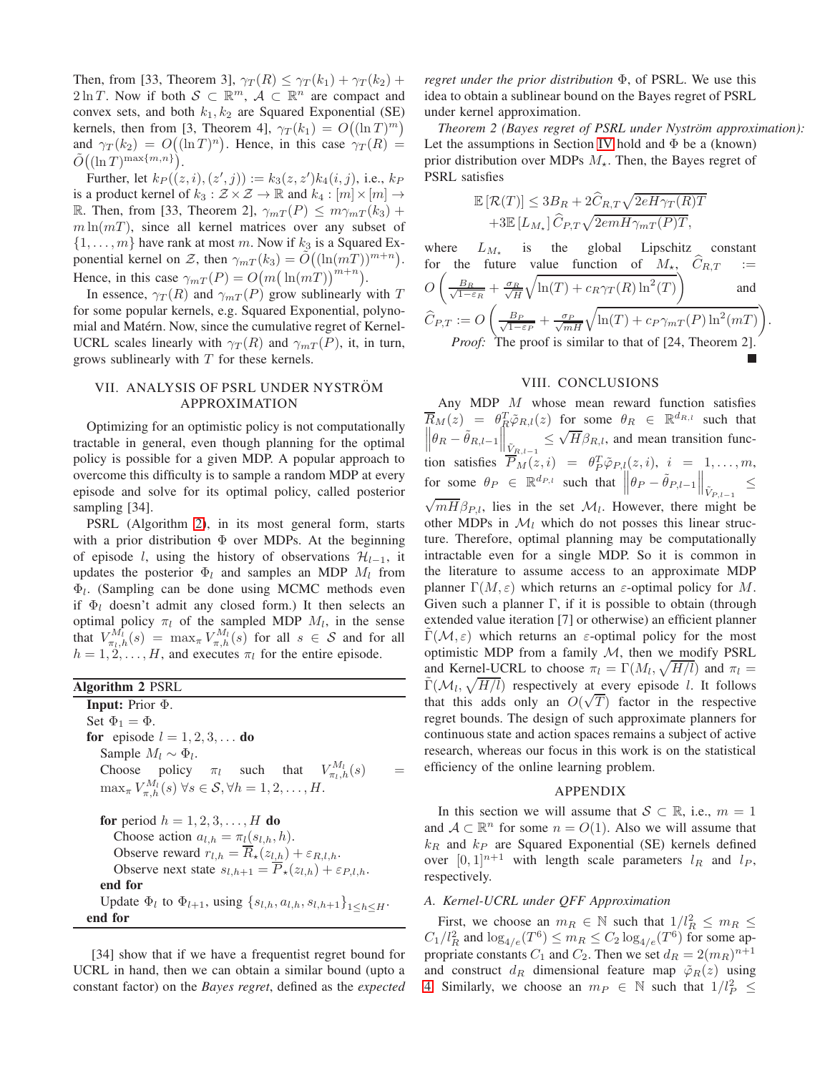Then, from [33, Theorem 3],  $\gamma_T(R) \leq \gamma_T(k_1) + \gamma_T(k_2) +$  $2 \ln T$ . Now if both  $S \subset \mathbb{R}^m$ ,  $\mathcal{A} \subset \mathbb{R}^n$  are compact and convex sets, and both  $k_1, k_2$  are Squared Exponential (SE) kernels, then from [3, Theorem 4],  $\gamma_T(k_1) = O((\ln T)^m)$ and  $\gamma_T(k_2) = O((\ln T)^n)$ . Hence, in this case  $\gamma_T(R) =$  $\tilde{O}((\ln T)^{\max\{m,n\}}).$ 

Further, let  $k_P((z, i), (z', j)) := k_3(z, z')k_4(i, j)$ , i.e.,  $k_P$ is a product kernel of  $k_3 : \mathcal{Z} \times \mathcal{Z} \to \mathbb{R}$  and  $k_4 : [m] \times [m] \to$ R. Then, from [33, Theorem 2],  $\gamma_{mT}(P) \leq m\gamma_{mT}(k_3) +$  $m \ln(mT)$ , since all kernel matrices over any subset of  $\{1, \ldots, m\}$  have rank at most m. Now if  $k_3$  is a Squared Exponential kernel on Z, then  $\gamma_{mT}(k_3) = \tilde{O}((\ln(mT))^{m+n}).$ Hence, in this case  $\gamma_{mT}(P) = O(m(\ln(mT))^{m+n})$ .

In essence,  $\gamma_T(R)$  and  $\gamma_{mT}(P)$  grow sublinearly with T for some popular kernels, e.g. Squared Exponential, polynomial and Matérn. Now, since the cumulative regret of Kernel-UCRL scales linearly with  $\gamma_T(R)$  and  $\gamma_{mT}(P)$ , it, in turn, grows sublinearly with  $T$  for these kernels.

## VII. ANALYSIS OF PSRL UNDER NYSTRÖM APPROXIMATION

Optimizing for an optimistic policy is not computationally tractable in general, even though planning for the optimal policy is possible for a given MDP. A popular approach to overcome this difficulty is to sample a random MDP at every episode and solve for its optimal policy, called posterior sampling [34].

PSRL (Algorithm [2\)](#page-5-0), in its most general form, starts with a prior distribution  $\Phi$  over MDPs. At the beginning of episode l, using the history of observations  $\mathcal{H}_{l-1}$ , it updates the posterior  $\Phi_l$  and samples an MDP  $M_l$  from  $\Phi_l$ . (Sampling can be done using MCMC methods even if  $\Phi_l$  doesn't admit any closed form.) It then selects an optimal policy  $\pi_l$  of the sampled MDP  $M_l$ , in the sense that  $V_{\pi_l,h}^{M_l}(s) = \max_{\pi} V_{\pi,h}^{M_l}(s)$  for all  $s \in S$  and for all  $h = 1, 2, \dots, H$ , and executes  $\pi_l$  for the entire episode.

<span id="page-5-0"></span>Algorithm 2 PSRL Input: Prior Φ. Set  $\Phi_1 = \Phi$ . for episode  $l = 1, 2, 3, \ldots$  do Sample  $M_l \sim \Phi_l$ . Choose policy  $\pi_l$  such that  $V_{\pi_l,h}^{M_l}(s)$  =  $\max_{\pi} V_{\pi,h}^{M_l}(s) \,\forall s \in \mathcal{S}, \forall h = 1,2,\ldots,H.$ for period  $h = 1, 2, 3, \ldots, H$  do Choose action  $a_{l,h} = \pi_l(s_{l,h}, h)$ . Observe reward  $r_{l,h} = R_{\star}(z_{l,h}) + \varepsilon_{R,l,h}$ . Observe next state  $s_{l,h+1} = P_{\star}(z_{l,h}) + \varepsilon_{P,l,h}$ . end for Update  $\Phi_l$  to  $\Phi_{l+1}$ , using  $\{s_{l,h}, a_{l,h}, s_{l,h+1}\}_{1 \leq h \leq H}$ . end for

[34] show that if we have a frequentist regret bound for UCRL in hand, then we can obtain a similar bound (upto a constant factor) on the *Bayes regret*, defined as the *expected* *regret under the prior distribution* Φ, of PSRL. We use this idea to obtain a sublinear bound on the Bayes regret of PSRL under kernel approximation.

*Theorem 2 (Bayes regret of PSRL under Nyström approximation):* Let the assumptions in Section [IV](#page-1-3) hold and  $\Phi$  be a (known) prior distribution over MDPs  $M_{\star}$ . Then, the Bayes regret of PSRL satisfies

$$
\mathbb{E}\left[\mathcal{R}(T)\right] \leq 3B_R + 2\widehat{C}_{R,T}\sqrt{2eH\gamma_T(R)T}
$$

$$
+3\mathbb{E}\left[L_{M_{\star}}\right]\widehat{C}_{P,T}\sqrt{2emH\gamma_{mT}(P)T},
$$

where  $L_{M_{\star}}$  is the global Lipschitz constant for the future value function of  $M_{\star}$ ,  $C_{R,T}$  :=  $\overline{O}$  $\sqrt{ }$  $\frac{B_R}{\sqrt{1-\epsilon}}$  $\frac{B_R}{1-\varepsilon_R}+\frac{\sigma_R}{\sqrt{H}}$  $\sqrt{\ln(T) + c_R \gamma_T(R) \ln^2(T)}$  $\setminus$ and  $C_{P,T} := O$  $\sqrt{ }$  $\frac{B_P}{\sqrt{1-\epsilon}}$  $\frac{B_P}{1-\varepsilon_P} + \frac{\sigma_P}{\sqrt{mH}} \sqrt{\ln(T) + c_P \gamma_{mT}(P) \ln^2(mT)}$  $\setminus$ *Proof:* The proof is similar to that of [24, Theorem 2].

.

## VIII. CONCLUSIONS

Any MDP M whose mean reward function satisfies  $\overline{R}_M(z) = \theta_R^T \tilde{\varphi}_{R,l}(z)$  for some  $\theta_R \in \mathbb{R}^{d_{R,l}}$  such that  $\left\|\theta_R - \tilde{\theta}_{R,l-1}\right\|_{\tilde{V}_{R,l-1}} \leq$  $\sqrt{H} \beta_{R,l}$ , and mean transition function satisfies  $\overline{P}_M(z,i) = \theta_P^T \tilde{\varphi}_{P,l}(z,i), i = 1, \ldots, m,$ for some  $\theta_P \in \mathbb{R}^{d_{P,l}}$  such that  $\left\|\theta_P - \tilde{\theta}_{P,l-1}\right\|_{\tilde{V}_{P,l-1}}$ ≤  $\sqrt{mH} \beta_{P,l}$ , lies in the set  $\mathcal{M}_l$ . However, there might be other MDPs in  $\mathcal{M}_l$  which do not posses this linear structure. Therefore, optimal planning may be computationally intractable even for a single MDP. So it is common in the literature to assume access to an approximate MDP planner  $\Gamma(M, \varepsilon)$  which returns an  $\varepsilon$ -optimal policy for M. Given such a planner  $\Gamma$ , if it is possible to obtain (through extended value iteration [7] or otherwise) an efficient planner  $\Gamma(\mathcal{M}, \varepsilon)$  which returns an  $\varepsilon$ -optimal policy for the most optimistic MDP from a family  $M$ , then we modify PSRL and Kernel-UCRL to choose  $\pi_l = \Gamma(M_l, \sqrt{H/l})$  and  $\pi_l =$  $\tilde{\Gamma}(\mathcal{M}_l, \sqrt{H/l})$  respectively at every episode l. It follows that this adds only an  $O(\sqrt{T})$  factor in the respective regret bounds. The design of such approximate planners for continuous state and action spaces remains a subject of active research, whereas our focus in this work is on the statistical efficiency of the online learning problem.

#### APPENDIX

In this section we will assume that  $S \subset \mathbb{R}$ , i.e.,  $m = 1$ and  $A \subset \mathbb{R}^n$  for some  $n = O(1)$ . Also we will assume that  $k_R$  and  $k_P$  are Squared Exponential (SE) kernels defined over  $[0, 1]^{n+1}$  with length scale parameters  $l_R$  and  $l_P$ , respectively.

#### *A. Kernel-UCRL under QFF Approximation*

First, we choose an  $m_R \in \mathbb{N}$  such that  $1/l_R^2 \leq m_R \leq$  $C_1/l_R^2$  and  $\log_{4/e}(T^6) \le m_R \le C_2 \log_{4/e}(T^6)$  for some appropriate constants  $C_1$  and  $C_2$ . Then we set  $d_R = 2(m_R)^{n+1}$ and construct  $d_R$  dimensional feature map  $\tilde{\varphi}_R(z)$  using [4.](#page-2-0) Similarly, we choose an  $m_P \in \mathbb{N}$  such that  $1/l_P^2 \leq$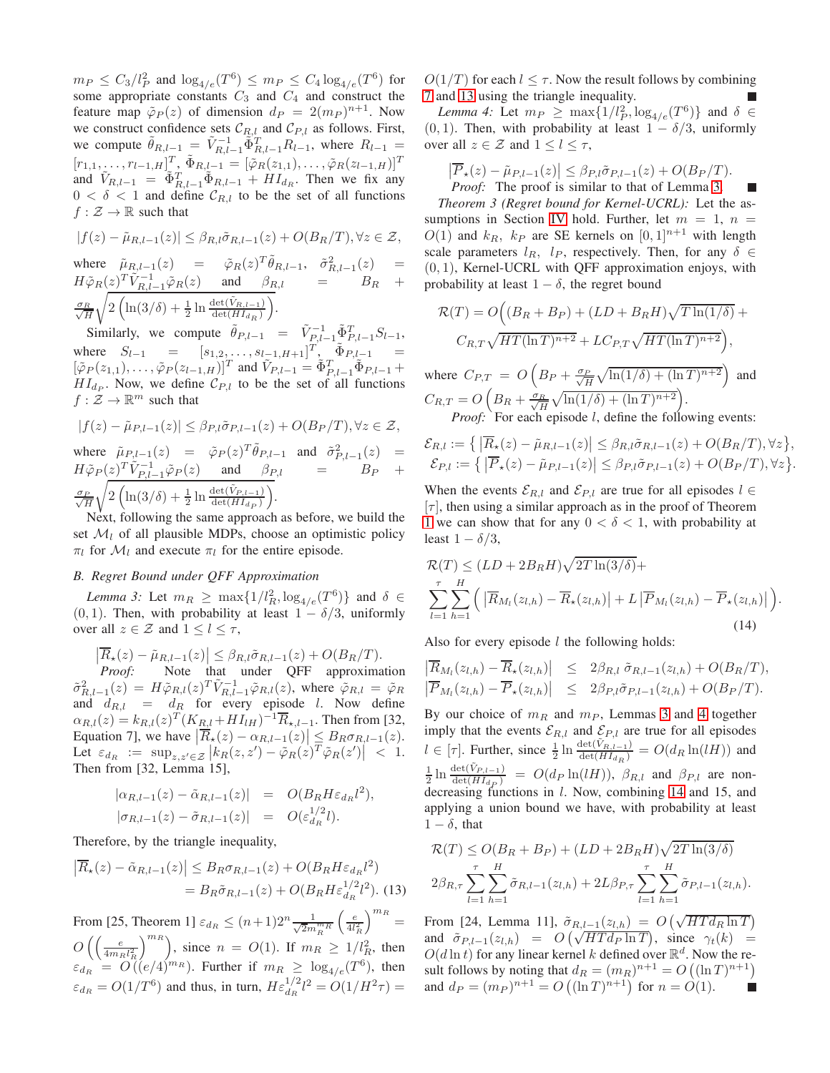$m_P \leq C_3/l_P^2$  and  $\log_{4/e}(T^6) \leq m_P \leq C_4 \log_{4/e}(T^6)$  for some appropriate constants  $C_3$  and  $C_4$  and construct the feature map  $\tilde{\varphi}_P(z)$  of dimension  $d_P = 2(m_P)^{n+1}$ . Now we construct confidence sets  $C_{R,l}$  and  $C_{P,l}$  as follows. First, we compute  $\tilde{\theta}_{R,l-1} = \tilde{V}_{R,l-1}^{-1} \tilde{\Phi}_{R,l-1}^{T} R_{l-1}$ , where  $R_{l-1} =$  $[r_{1,1}, \ldots, r_{l-1,H}]_{\sim}^T \tilde{\Phi}_{R,l-1} = [\tilde{\varphi}_R(z_{1,1}), \ldots, \tilde{\varphi}_R(z_{l-1,H})]^T$ and  $\tilde{V}_{R,l-1} = \tilde{\Phi}_{R,l-1}^T \tilde{\Phi}_{R,l-1} + H I_{d_R}$ . Then we fix any  $0 < \delta < 1$  and define  $\mathcal{C}_{R,l}$  to be the set of all functions  $f : \mathcal{Z} \to \mathbb{R}$  such that

$$
|f(z) - \tilde{\mu}_{R,l-1}(z)| \leq \beta_{R,l} \tilde{\sigma}_{R,l-1}(z) + O(B_R/T), \forall z \in \mathcal{Z},
$$

where  $\tilde{\mu}_{R,l-1}(z) = \tilde{\varphi}_R(z)^T \tilde{\theta}_{R,l-1}, \tilde{\sigma}_{R,l-1}^2(z) =$  $H\tilde{\varphi}_R(z)^T \tilde{V}_{R,l-1}^{-1} \tilde{\varphi}_R(z)$  and  $\beta_{R,l}$  =  $B_R$  + √σR H <sup>1</sup>  $2\left(\ln(3/\delta) + \frac{1}{2}\ln\frac{\det(\tilde{V}_{R,l-1})}{\det(HI_{d_R})}\right)$ .

Similarly, we compute  $\tilde{\theta}_{P,l-1} = \tilde{V}_{P,l-1}^{-1} \tilde{\Phi}_{P,l-1}^{T} S_{l-1}$ , where  $S_{l-1} = [s_{1,2}, \dots, s_{l-1}, H+1]^T$ ,  $\tilde{\Phi}_{P,l-1} =$  $[\tilde{\varphi}_P(z_{1,1}), \ldots, \tilde{\varphi}_P(z_{l-1,H})]^T$  and  $\tilde{V}_{P,l-1} = \tilde{\Phi}_{P,l-1}^T \tilde{\Phi}_{P,l-1} +$  $HI_{dp}$ . Now, we define  $C_{P,l}$  to be the set of all functions  $f : \mathcal{Z} \to \mathbb{R}^m$  such that

$$
|f(z) - \tilde{\mu}_{P,l-1}(z)| \leq \beta_{P,l}\tilde{\sigma}_{P,l-1}(z) + O(B_P/T), \forall z \in \mathcal{Z},
$$
  
where  $\tilde{\mu}_{P,l-1}(z) = \tilde{\varphi}_P(z)^T \tilde{\theta}_{P,l-1}$  and  $\tilde{\sigma}_{P,l-1}^2(z) =$   
 $H\tilde{\varphi}_P(z)^T \tilde{V}_{P,l-1}^{-1} \tilde{\varphi}_P(z)$  and  $\beta_{P,l} =$   
 $\frac{\sigma_P}{\sqrt{H}} \sqrt{2 \left( \ln(3/\delta) + \frac{1}{2} \ln \frac{\det(\tilde{V}_{P,l-1})}{\det(HI_{d_P})} \right)}.$ 

Next, following the same approach as before, we build the set  $\mathcal{M}_l$  of all plausible MDPs, choose an optimistic policy  $\pi_l$  for  $\mathcal{M}_l$  and execute  $\pi_l$  for the entire episode.

#### <span id="page-6-1"></span>*B. Regret Bound under QFF Approximation*

*Lemma 3:* Let  $m_R \ge \max\{1/l_R^2, \log_{4/e}(T^6)\}\$  and  $\delta \in$ (0, 1). Then, with probability at least  $1 - \delta/3$ , uniformly over all  $z \in \mathcal{Z}$  and  $1 \leq l \leq \tau$ ,

$$
\left|\overline{R}_{\star}(z) - \tilde{\mu}_{R,l-1}(z)\right| \leq \beta_{R,l}\tilde{\sigma}_{R,l-1}(z) + O(B_R/T).
$$

*Proof:* Note that under QFF approximation  $\tilde{\sigma}_{R,l-1}^2(z) = H \tilde{\varphi}_{R,l}(z)^T \tilde{V}_{R,l-1}^{-1} \tilde{\varphi}_{R,l}(z)$ , where  $\tilde{\varphi}_{R,l} = \tilde{\varphi}_R$ and  $d_{R,l} = d_R$  for every episode l. Now define  $\alpha_{R,l}(z) = k_{R,l}(z)^T (K_{R,l} + H I_{lH})^{-1} \overline{R}_{\star, l-1}$ . Then from [32, Equation 7], we have  $\left| \overline{R}_{\star}(z) - \alpha_{R,l-1}(z) \right| \leq B_R \sigma_{R,l-1}(z)$ . Let  $\varepsilon_{d_R} := \sup_{z,z' \in \mathcal{Z}} \left| k_R(z,z') - \tilde{\varphi}_R(z) T \tilde{\varphi}_R(z') \right| \ < 1.$ Then from [32, Lemma 15],

$$
\begin{array}{rcl}\n|\alpha_{R,l-1}(z) - \tilde{\alpha}_{R,l-1}(z)| & = & O(B_R H \varepsilon_{d_R} l^2), \\
|\sigma_{R,l-1}(z) - \tilde{\sigma}_{R,l-1}(z)| & = & O(\varepsilon_{d_R}^{1/2} l).\n\end{array}
$$

Therefore, by the triangle inequality,

<span id="page-6-0"></span>
$$
\left|\overline{R}_{\star}(z) - \tilde{\alpha}_{R,l-1}(z)\right| \leq B_R \sigma_{R,l-1}(z) + O(B_R H \varepsilon_{d_R} l^2)
$$

$$
= B_R \tilde{\sigma}_{R,l-1}(z) + O(B_R H \varepsilon_{d_R}^{1/2} l^2). \tag{13}
$$

From [25, Theorem 1]  $\varepsilon_{d_R} \le (n+1)2^n \frac{1}{\sqrt{2m}}$  $\overline{2}m_R^{m_R}$  $\biggl( \frac{e}{4 l_R^2}$  $\big)^{m_R} =$  $O\left(\frac{e}{4m} \right)$  $4m_R l_R^2$  $\binom{m_R}{k}$ , since  $n = O(1)$ . If  $m_R \geq 1/l_R^2$ , then  $\varepsilon_{dR} = O((e/4)^{m_R})$ . Further if  $m_R \ge \log_{4/e}(T^6)$ , then  $\varepsilon_{dR} = O(1/T^6)$  and thus, in turn,  $He_{dR}^{1/2}l^2 = O(1/H^2\tau) =$  <span id="page-6-2"></span> $O(1/T)$  for each  $l \leq \tau$ . Now the result follows by combining [7](#page-3-2) and [13](#page-6-0) using the triangle inequality.

*Lemma 4:* Let  $m_P \ge \max\{1/l_P^2, \log_{4/e}(T^6)\}\$ and  $\delta \in$  $(0, 1)$ . Then, with probability at least  $1 - \delta/3$ , uniformly over all  $z \in \mathcal{Z}$  and  $1 \leq l \leq \tau$ ,

$$
\left|\overline{P}_{\star}(z) - \tilde{\mu}_{P,l-1}(z)\right| \leq \beta_{P,l}\tilde{\sigma}_{P,l-1}(z) + O(B_P/T).
$$
  
*Proof:* The proof is similar to that of Lemma 3.

*Theorem 3 (Regret bound for Kernel-UCRL):* Let the as-sumptions in Section [IV](#page-1-3) hold. Further, let  $m = 1$ ,  $n =$  $O(1)$  and  $k_R$ ,  $k_P$  are SE kernels on  $[0, 1]^{n+1}$  with length scale parameters  $l_R$ ,  $l_P$ , respectively. Then, for any  $\delta \in$ (0, 1), Kernel-UCRL with QFF approximation enjoys, with probability at least  $1 - \delta$ , the regret bound

$$
\mathcal{R}(T) = O\Big((B_R + B_P) + (LD + B_R H)\sqrt{T \ln(1/\delta)} + C_{R,T}\sqrt{HT(\ln T)^{n+2}} + LC_{P,T}\sqrt{HT(\ln T)^{n+2}}\Big),\,
$$

where  $C_{P,T} = O\left(B_P + \frac{\sigma_P}{\sqrt{H}}\sqrt{\ln(1/\delta) + (\ln T)^{n+2}}\right)$  and  $C_{R,T} = O\left(B_R + \frac{\sigma_R}{\sqrt{H}}\sqrt{\ln(1/\delta) + (\ln T)^{n+2}}\right).$ *Proof:* For each episode *l*, define the following events:

$$
\mathcal{E}_{R,l} := \Big\{ \left| \overline{R}_{\star}(z) - \tilde{\mu}_{R,l-1}(z) \right| \leq \beta_{R,l} \tilde{\sigma}_{R,l-1}(z) + O(B_R/T), \forall z \Big\}, \mathcal{E}_{P,l} := \Big\{ \left| \overline{P}_{\star}(z) - \tilde{\mu}_{P,l-1}(z) \right| \leq \beta_{P,l} \tilde{\sigma}_{P,l-1}(z) + O(B_P/T), \forall z \Big\}.
$$

When the events  $\mathcal{E}_{R,l}$  and  $\mathcal{E}_{P,l}$  are true for all episodes  $l \in$  $|\tau|$ , then using a similar approach as in the proof of Theorem [1](#page-4-6) we can show that for any  $0 < \delta < 1$ , with probability at least  $1 - \delta/3$ ,

<span id="page-6-3"></span>
$$
\mathcal{R}(T) \leq (LD + 2B_R H) \sqrt{2T \ln(3/\delta)} +
$$
  
\n
$$
\sum_{l=1}^{\tau} \sum_{h=1}^{H} \left( \left| \overline{R}_{M_l}(z_{l,h}) - \overline{R}_{\star}(z_{l,h}) \right| + L \left| \overline{P}_{M_l}(z_{l,h}) - \overline{P}_{\star}(z_{l,h}) \right| \right).
$$
\n(14)

Also for every episode  $l$  the following holds:

$$
\begin{array}{rcl}\n\left|\overline{R}_{M_l}(z_{l,h}) - \overline{R}_\star(z_{l,h})\right| & \leq & 2\beta_{R,l} \ \tilde{\sigma}_{R,l-1}(z_{l,h}) + O(B_R/T), \\
\left|\overline{P}_{M_l}(z_{l,h}) - \overline{P}_\star(z_{l,h})\right| & \leq & 2\beta_{P,l} \tilde{\sigma}_{P,l-1}(z_{l,h}) + O(B_P/T).\n\end{array}
$$

By our choice of  $m_R$  and  $m_P$ , Lemmas [3](#page-6-1) and [4](#page-6-2) together imply that the events  $\mathcal{E}_{R,l}$  and  $\mathcal{E}_{P,l}$  are true for all episodes  $l \in [\tau]$ . Further, since  $\frac{1}{2} \ln \frac{\det(\tilde{V}_{R,l-1})}{\det(HI_{dR})} = O(d_R \ln(lH))$  and  $\frac{1}{2} \ln \frac{\det(\tilde{V}_{P,l-1})}{\det(H_{dp})} = O(d_P \ln(lH)), \beta_{R,l}$  and  $\beta_{P,l}$  are nondecreasing functions in l. Now, combining [14](#page-6-3) and 15, and applying a union bound we have, with probability at least  $1 - \delta$ , that

$$
\mathcal{R}(T) \le O(B_R + B_P) + (LD + 2B_R H) \sqrt{2T \ln(3/\delta)}
$$
  

$$
2\beta_{R,\tau} \sum_{l=1}^{\tau} \sum_{h=1}^{H} \tilde{\sigma}_{R,l-1}(z_{l,h}) + 2L\beta_{P,\tau} \sum_{l=1}^{\tau} \sum_{h=1}^{H} \tilde{\sigma}_{P,l-1}(z_{l,h}).
$$

From [24, Lemma 11],  $\tilde{\sigma}_{R,l-1}(z_{l,h}) = O\left(\sqrt{HTd_R \ln T}\right)$ and  $\tilde{\sigma}_{P,l-1}(z_{l,h}) = O\left(\sqrt{HTd_P \ln T}\right)$ , since  $\gamma_t(k) =$  $O(d \ln t)$  for any linear kernel k defined over  $\mathbb{R}^d$ . Now the result follows by noting that  $d_R = (m_R)^{n+1} = O((\ln T)^{n+1})$ and  $d_P = (m_P)^{n+1} = O((\ln T)^{n+1})$  for  $n = O(1)$ .